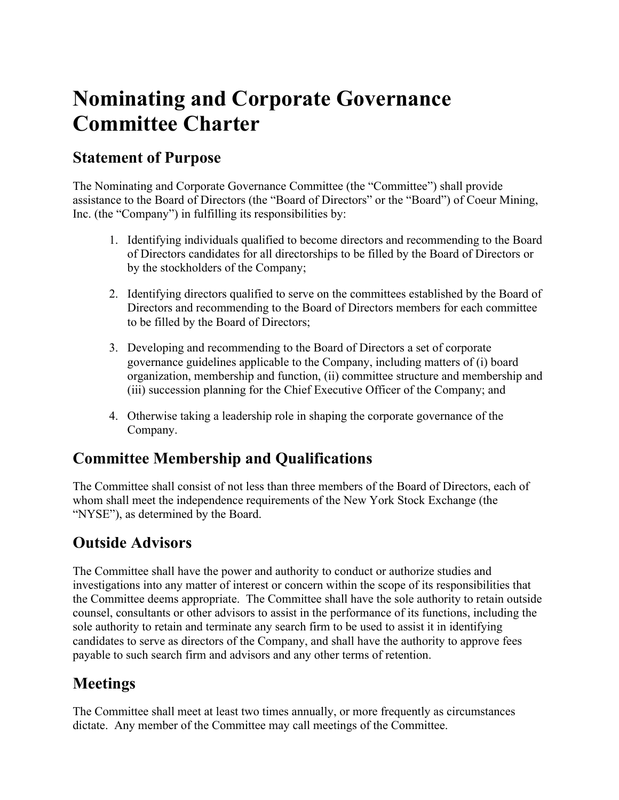# **Nominating and Corporate Governance Committee Charter**

#### **Statement of Purpose**

The Nominating and Corporate Governance Committee (the "Committee") shall provide assistance to the Board of Directors (the "Board of Directors" or the "Board") of Coeur Mining, Inc. (the "Company") in fulfilling its responsibilities by:

- 1. Identifying individuals qualified to become directors and recommending to the Board of Directors candidates for all directorships to be filled by the Board of Directors or by the stockholders of the Company;
- 2. Identifying directors qualified to serve on the committees established by the Board of Directors and recommending to the Board of Directors members for each committee to be filled by the Board of Directors;
- 3. Developing and recommending to the Board of Directors a set of corporate governance guidelines applicable to the Company, including matters of (i) board organization, membership and function, (ii) committee structure and membership and (iii) succession planning for the Chief Executive Officer of the Company; and
- 4. Otherwise taking a leadership role in shaping the corporate governance of the Company.

## **Committee Membership and Qualifications**

The Committee shall consist of not less than three members of the Board of Directors, each of whom shall meet the independence requirements of the New York Stock Exchange (the "NYSE"), as determined by the Board.

### **Outside Advisors**

The Committee shall have the power and authority to conduct or authorize studies and investigations into any matter of interest or concern within the scope of its responsibilities that the Committee deems appropriate. The Committee shall have the sole authority to retain outside counsel, consultants or other advisors to assist in the performance of its functions, including the sole authority to retain and terminate any search firm to be used to assist it in identifying candidates to serve as directors of the Company, and shall have the authority to approve fees payable to such search firm and advisors and any other terms of retention.

## **Meetings**

The Committee shall meet at least two times annually, or more frequently as circumstances dictate. Any member of the Committee may call meetings of the Committee.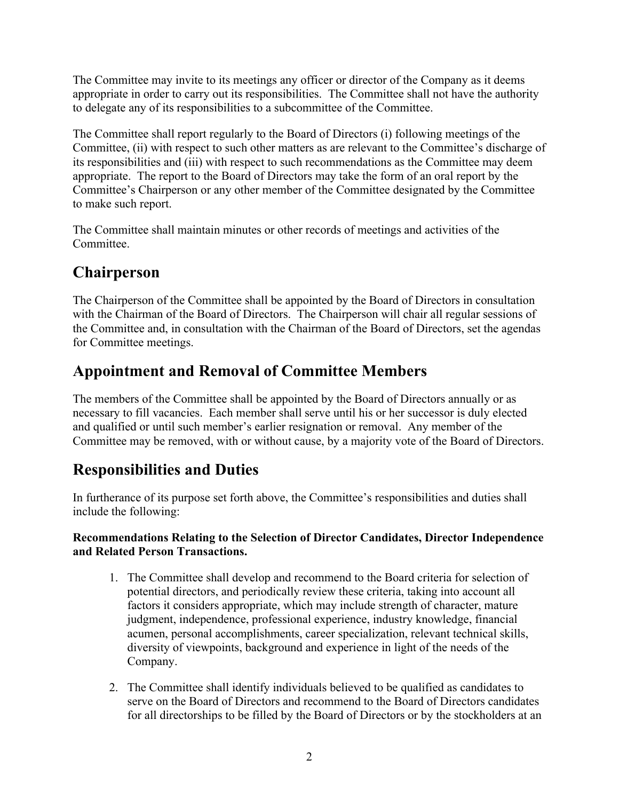The Committee may invite to its meetings any officer or director of the Company as it deems appropriate in order to carry out its responsibilities. The Committee shall not have the authority to delegate any of its responsibilities to a subcommittee of the Committee.

The Committee shall report regularly to the Board of Directors (i) following meetings of the Committee, (ii) with respect to such other matters as are relevant to the Committee's discharge of its responsibilities and (iii) with respect to such recommendations as the Committee may deem appropriate. The report to the Board of Directors may take the form of an oral report by the Committee's Chairperson or any other member of the Committee designated by the Committee to make such report.

The Committee shall maintain minutes or other records of meetings and activities of the Committee.

## **Chairperson**

The Chairperson of the Committee shall be appointed by the Board of Directors in consultation with the Chairman of the Board of Directors. The Chairperson will chair all regular sessions of the Committee and, in consultation with the Chairman of the Board of Directors, set the agendas for Committee meetings.

### **Appointment and Removal of Committee Members**

The members of the Committee shall be appointed by the Board of Directors annually or as necessary to fill vacancies. Each member shall serve until his or her successor is duly elected and qualified or until such member's earlier resignation or removal. Any member of the Committee may be removed, with or without cause, by a majority vote of the Board of Directors.

### **Responsibilities and Duties**

In furtherance of its purpose set forth above, the Committee's responsibilities and duties shall include the following:

#### **Recommendations Relating to the Selection of Director Candidates, Director Independence and Related Person Transactions.**

- 1. The Committee shall develop and recommend to the Board criteria for selection of potential directors, and periodically review these criteria, taking into account all factors it considers appropriate, which may include strength of character, mature judgment, independence, professional experience, industry knowledge, financial acumen, personal accomplishments, career specialization, relevant technical skills, diversity of viewpoints, background and experience in light of the needs of the Company.
- 2. The Committee shall identify individuals believed to be qualified as candidates to serve on the Board of Directors and recommend to the Board of Directors candidates for all directorships to be filled by the Board of Directors or by the stockholders at an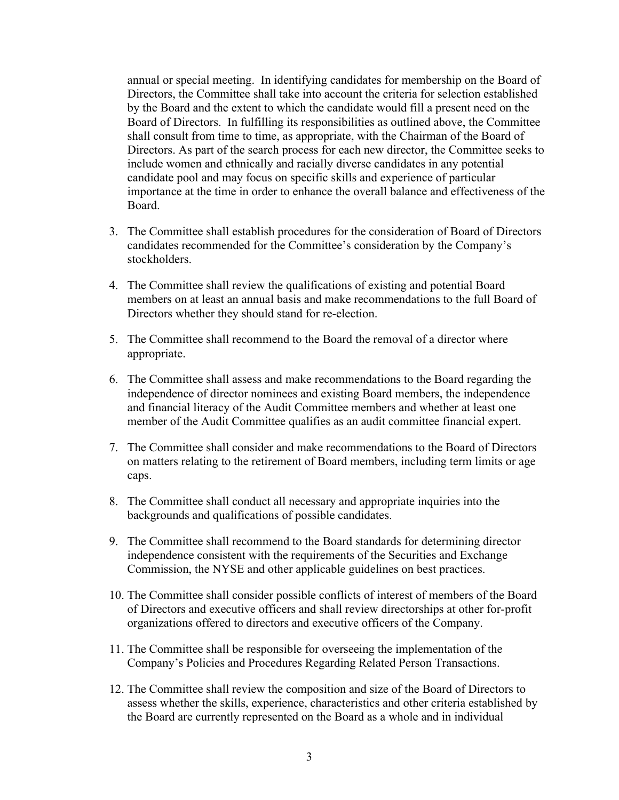annual or special meeting. In identifying candidates for membership on the Board of Directors, the Committee shall take into account the criteria for selection established by the Board and the extent to which the candidate would fill a present need on the Board of Directors. In fulfilling its responsibilities as outlined above, the Committee shall consult from time to time, as appropriate, with the Chairman of the Board of Directors. As part of the search process for each new director, the Committee seeks to include women and ethnically and racially diverse candidates in any potential candidate pool and may focus on specific skills and experience of particular importance at the time in order to enhance the overall balance and effectiveness of the Board.

- 3. The Committee shall establish procedures for the consideration of Board of Directors candidates recommended for the Committee's consideration by the Company's stockholders.
- 4. The Committee shall review the qualifications of existing and potential Board members on at least an annual basis and make recommendations to the full Board of Directors whether they should stand for re-election.
- 5. The Committee shall recommend to the Board the removal of a director where appropriate.
- 6. The Committee shall assess and make recommendations to the Board regarding the independence of director nominees and existing Board members, the independence and financial literacy of the Audit Committee members and whether at least one member of the Audit Committee qualifies as an audit committee financial expert.
- 7. The Committee shall consider and make recommendations to the Board of Directors on matters relating to the retirement of Board members, including term limits or age caps.
- 8. The Committee shall conduct all necessary and appropriate inquiries into the backgrounds and qualifications of possible candidates.
- 9. The Committee shall recommend to the Board standards for determining director independence consistent with the requirements of the Securities and Exchange Commission, the NYSE and other applicable guidelines on best practices.
- 10. The Committee shall consider possible conflicts of interest of members of the Board of Directors and executive officers and shall review directorships at other for-profit organizations offered to directors and executive officers of the Company.
- 11. The Committee shall be responsible for overseeing the implementation of the Company's Policies and Procedures Regarding Related Person Transactions.
- 12. The Committee shall review the composition and size of the Board of Directors to assess whether the skills, experience, characteristics and other criteria established by the Board are currently represented on the Board as a whole and in individual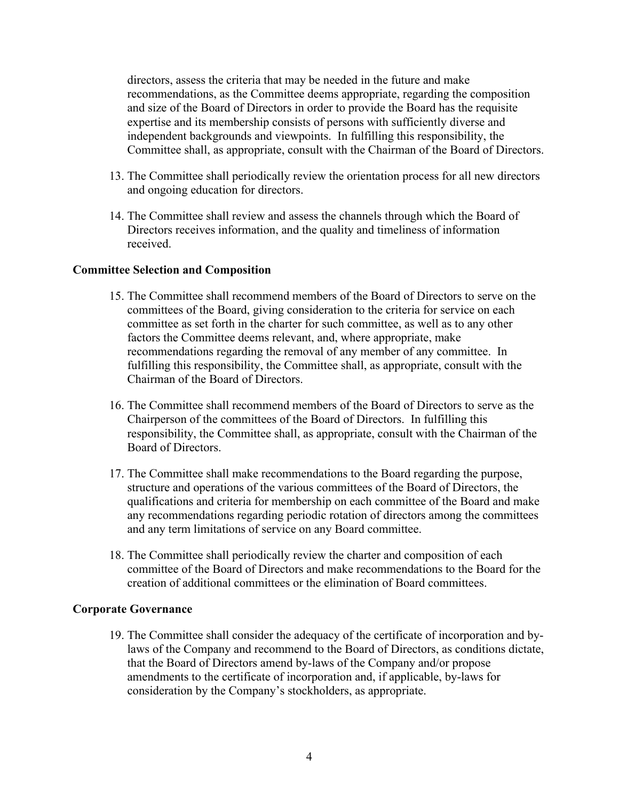directors, assess the criteria that may be needed in the future and make recommendations, as the Committee deems appropriate, regarding the composition and size of the Board of Directors in order to provide the Board has the requisite expertise and its membership consists of persons with sufficiently diverse and independent backgrounds and viewpoints. In fulfilling this responsibility, the Committee shall, as appropriate, consult with the Chairman of the Board of Directors.

- 13. The Committee shall periodically review the orientation process for all new directors and ongoing education for directors.
- 14. The Committee shall review and assess the channels through which the Board of Directors receives information, and the quality and timeliness of information received.

#### **Committee Selection and Composition**

- 15. The Committee shall recommend members of the Board of Directors to serve on the committees of the Board, giving consideration to the criteria for service on each committee as set forth in the charter for such committee, as well as to any other factors the Committee deems relevant, and, where appropriate, make recommendations regarding the removal of any member of any committee. In fulfilling this responsibility, the Committee shall, as appropriate, consult with the Chairman of the Board of Directors.
- 16. The Committee shall recommend members of the Board of Directors to serve as the Chairperson of the committees of the Board of Directors. In fulfilling this responsibility, the Committee shall, as appropriate, consult with the Chairman of the Board of Directors.
- 17. The Committee shall make recommendations to the Board regarding the purpose, structure and operations of the various committees of the Board of Directors, the qualifications and criteria for membership on each committee of the Board and make any recommendations regarding periodic rotation of directors among the committees and any term limitations of service on any Board committee.
- 18. The Committee shall periodically review the charter and composition of each committee of the Board of Directors and make recommendations to the Board for the creation of additional committees or the elimination of Board committees.

#### **Corporate Governance**

19. The Committee shall consider the adequacy of the certificate of incorporation and bylaws of the Company and recommend to the Board of Directors, as conditions dictate, that the Board of Directors amend by-laws of the Company and/or propose amendments to the certificate of incorporation and, if applicable, by-laws for consideration by the Company's stockholders, as appropriate.